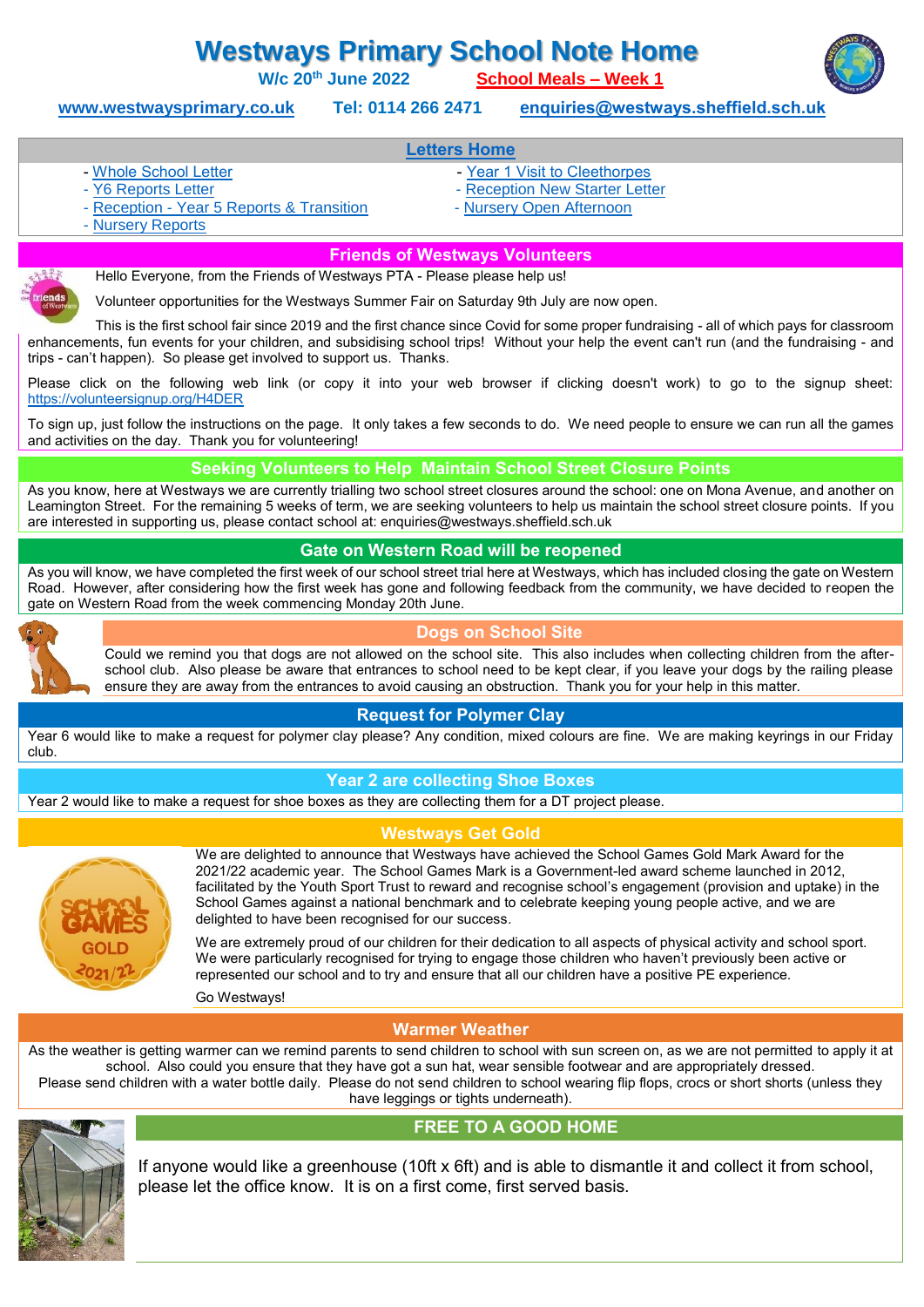# **Westways Primary School Note Home**

**W/c 20th June 2022 [School Meals –](https://www.westwaysprimary.co.uk/uploads/2020/Files/Westways%20-%20Core%20Menu-%20Fab%20Four-%20Sheffield%20Display%20Menu%20-%202021-22%20TERM%203.pdf) Week 1**



**[www.westwaysprimary.co.uk](http://www.westwaysprimary.co.uk/) Tel: 0114 266 2471 [enquiries@westways.sheffield.sch.uk](mailto:enquiries@westways.sheffield.sch.uk)**

## **[Letters Home](https://www.westwaysprimary.co.uk/letters-and-newsletters)**

- 
- [Whole School Letter](https://www.westwaysprimary.co.uk/uploads/2020/Letters/Whole%20School%20Letter.pdf)  $\blacksquare$ 
	-
	- Reception [Year 5 Reports & Transition](https://www.westwaysprimary.co.uk/uploads/2020/Note%20Home/Rec-Y5%20Reports%20&%20Transition%20Letter%20June%2022.pdf)  [Nursery Open Afternoon](https://www.westwaysprimary.co.uk/uploads/2020/Note%20Home/Nursery%20Open%20Afternoon%20Letter%20June%2022.pdf)
- [Y6 Reports Letter](https://www.westwaysprimary.co.uk/uploads/2020/Note%20Home/Y6%20Reports%20Letter%20June%2022.pdf)  $\overline{\phantom{a}}$  [Reception New Starter Letter](https://www.westwaysprimary.co.uk/uploads/2020/Note%20Home/Reception%20New%20Starter%20Letter%20May%202022.pdf)
	-

- [Nursery Reports](https://www.westwaysprimary.co.uk/uploads/2020/Note%20Home/Nursery%20Reports%20Letter%20June%2022.pdf)

#### **Friends of Westways Volunteers**

Hello Everyone, from the Friends of Westways PTA - Please please help us!

Volunteer opportunities for the Westways Summer Fair on Saturday 9th July are now open.

This is the first school fair since 2019 and the first chance since Covid for some proper fundraising - all of which pays for classroom enhancements, fun events for your children, and subsidising school trips! Without your help the event can't run (and the fundraising - and trips - can't happen). So please get involved to support us. Thanks.

Please click on the following web link (or copy it into your web browser if clicking doesn't work) to go to the signup sheet: <https://volunteersignup.org/H4DER>

To sign up, just follow the instructions on the page. It only takes a few seconds to do. We need people to ensure we can run all the games and activities on the day. Thank you for volunteering!

**Seeking Volunteers to Help Maintain School Street Closure Points**

As you know, here at Westways we are currently trialling two school street closures around the school: one on Mona Avenue, and another on Leamington Street. For the remaining 5 weeks of term, we are seeking volunteers to help us maintain the school street closure points. If you are interested in supporting us, please contact school at: enquiries@westways.sheffield.sch.uk

#### **Gate on Western Road will be reopened**

As you will know, we have completed the first week of our school street trial here at Westways, which has included closing the gate on Western Road. However, after considering how the first week has gone and following feedback from the community, we have decided to reopen the gate on Western Road from the week commencing Monday 20th June.



#### **Dogs on School Site**

Could we remind you that dogs are not allowed on the school site. This also includes when collecting children from the afterschool club. Also please be aware that entrances to school need to be kept clear, if you leave your dogs by the railing please ensure they are away from the entrances to avoid causing an obstruction. Thank you for your help in this matter.

## **Request for Polymer Clay**

Year 6 would like to make a request for polymer clay please? Any condition, mixed colours are fine. We are making keyrings in our Friday club.

## **Year 2 are collecting Shoe Boxes**

Year 2 would like to make a request for shoe boxes as they are collecting them for a DT project please.





We are delighted to announce that Westways have achieved the School Games Gold Mark Award for the 2021/22 academic year. The School Games Mark is a Government-led award scheme launched in 2012, facilitated by the Youth Sport Trust to reward and recognise school's engagement (provision and uptake) in the School Games against a national benchmark and to celebrate keeping young people active, and we are delighted to have been recognised for our success.

We are extremely proud of our children for their dedication to all aspects of physical activity and school sport. We were particularly recognised for trying to engage those children who haven't previously been active or represented our school and to try and ensure that all our children have a positive PE experience.

Go Westways!

# **Warmer Weather**

As the weather is getting warmer can we remind parents to send children to school with sun screen on, as we are not permitted to apply it at school. Also could you ensure that they have got a sun hat, wear sensible footwear and are appropriately dressed. Please send children with a water bottle daily. Please do not send children to school wearing flip flops, crocs or short shorts (unless they have leggings or tights underneath).



If anyone would like a greenhouse (10ft x 6ft) and is able to dismantle it and collect it from school, please let the office know. It is on a first come, first served basis.

**FREE TO A GOOD HOME**